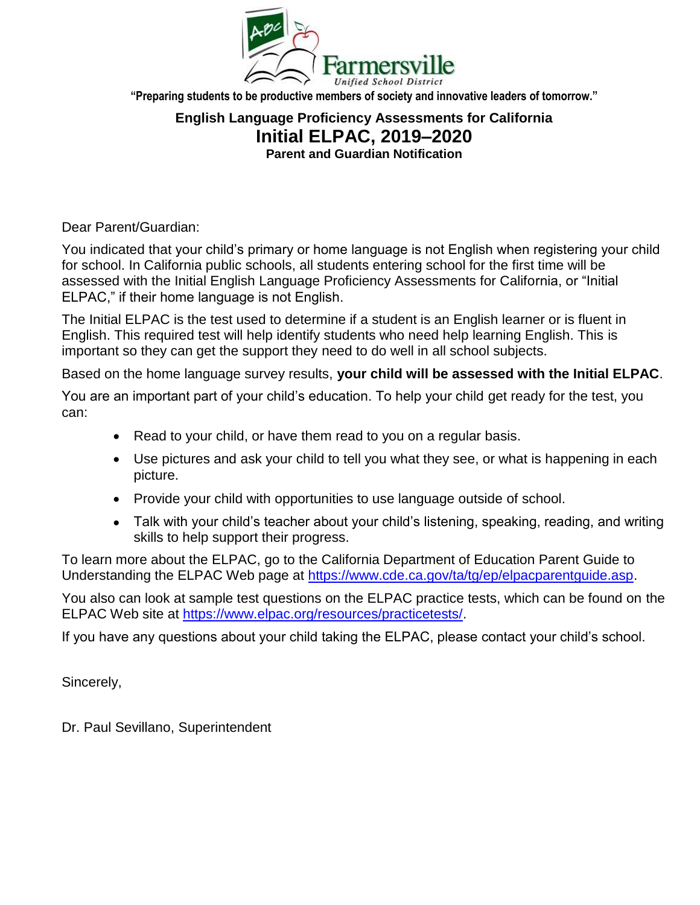

**"Preparing students to be productive members of society and innovative leaders of tomorrow."**

## **English Language Proficiency Assessments for California Initial ELPAC, 2019–2020 Parent and Guardian Notification**

Dear Parent/Guardian:

You indicated that your child's primary or home language is not English when registering your child for school. In California public schools, all students entering school for the first time will be assessed with the Initial English Language Proficiency Assessments for California, or "Initial ELPAC," if their home language is not English.

The Initial ELPAC is the test used to determine if a student is an English learner or is fluent in English. This required test will help identify students who need help learning English. This is important so they can get the support they need to do well in all school subjects.

Based on the home language survey results, **your child will be assessed with the Initial ELPAC**.

You are an important part of your child's education. To help your child get ready for the test, you can:

- Read to your child, or have them read to you on a regular basis.
- Use pictures and ask your child to tell you what they see, or what is happening in each picture.
- Provide your child with opportunities to use language outside of school.
- Talk with your child's teacher about your child's listening, speaking, reading, and writing skills to help support their progress.

To learn more about the ELPAC, go to the California Department of Education Parent Guide to Understanding the ELPAC Web page at [https://www.cde.ca.gov/ta/tg/ep/elpacparentguide.asp.](https://www.cde.ca.gov/ta/tg/ep/elpacparentguide.asp)

You also can look at sample test questions on the ELPAC practice tests, which can be found on the ELPAC Web site at [https://www.elpac.org/resources/practicetests/.](https://www.elpac.org/resources/practicetests/)

If you have any questions about your child taking the ELPAC, please contact your child's school.

Sincerely,

Dr. Paul Sevillano, Superintendent